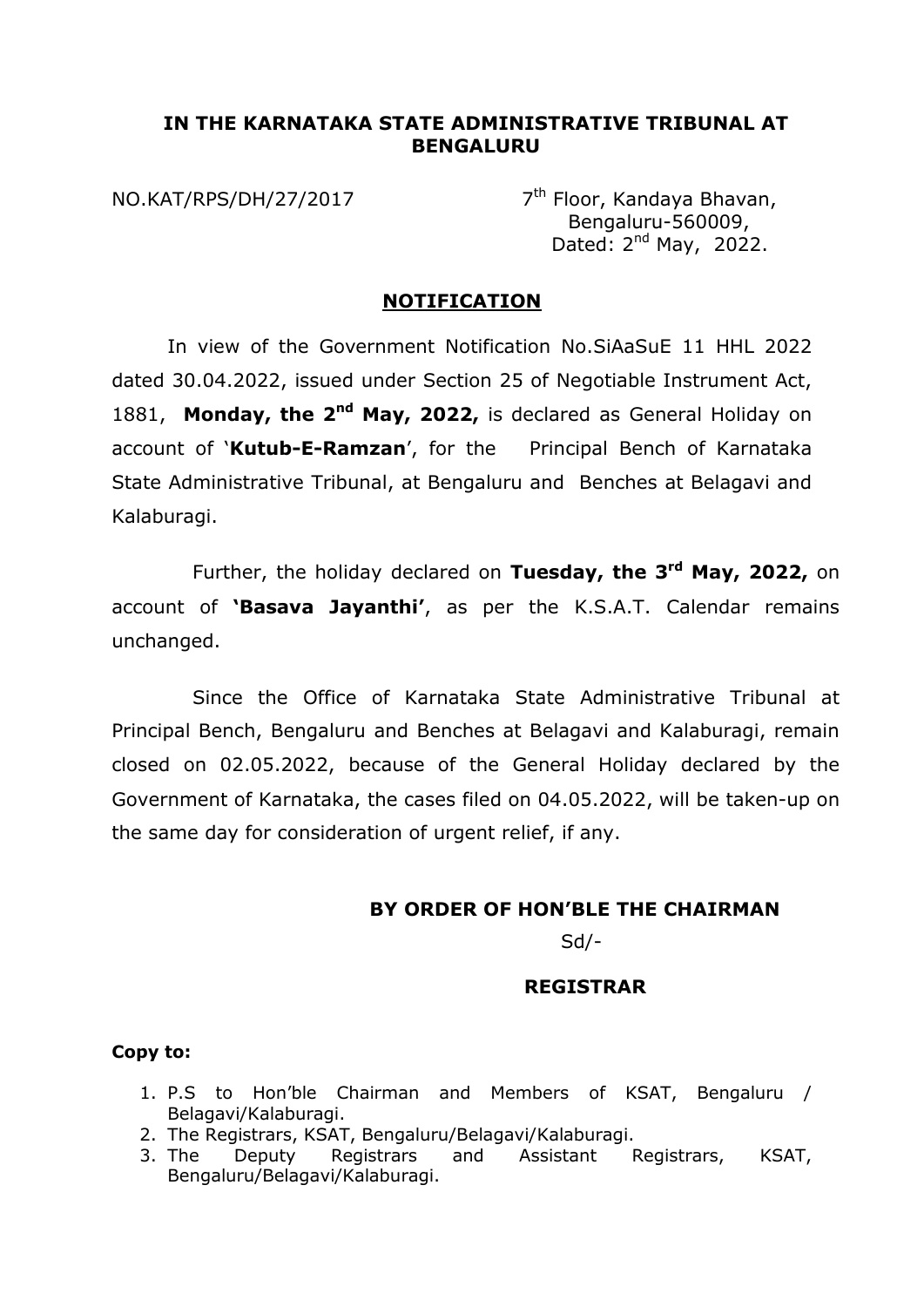### **IN THE KARNATAKA STATE ADMINISTRATIVE TRIBUNAL AT BENGALURU**

NO.KAT/RPS/DH/27/2017

 $7<sup>th</sup>$  Floor, Kandaya Bhavan, Bengaluru-560009, Dated:  $2^{nd}$  May, 2022.

### **NOTIFICATION**

In view of the Government Notification No.SiAaSuE 11 HHL 2022 dated 30.04.2022, issued under Section 25 of Negotiable Instrument Act, 1881, Monday, the 2<sup>nd</sup> May, 2022, is declared as General Holiday on account of '**Kutub-E-Ramzan**', for the Principal Bench of Karnataka State Administrative Tribunal, at Bengaluru and Benches at Belagavi and Kalaburagi.

Further, the holiday declared on **Tuesday, the 3rd May, 2022,** on account of **'Basava Jayanthi'**, as per the K.S.A.T. Calendar remains unchanged.

Since the Office of Karnataka State Administrative Tribunal at Principal Bench, Bengaluru and Benches at Belagavi and Kalaburagi, remain closed on 02.05.2022, because of the General Holiday declared by the Government of Karnataka, the cases filed on 04.05.2022, will be taken-up on the same day for consideration of urgent relief, if any.

# **BY ORDER OF HON'BLE THE CHAIRMAN**

Sd/-

## **REGISTRAR**

#### **Copy to:**

- 1. P.S to Hon'ble Chairman and Members of KSAT, Bengaluru / Belagavi/Kalaburagi.
- 2. The Registrars, KSAT, Bengaluru/Belagavi/Kalaburagi.
- 3. The Deputy Registrars and Assistant Registrars, KSAT, Bengaluru/Belagavi/Kalaburagi.